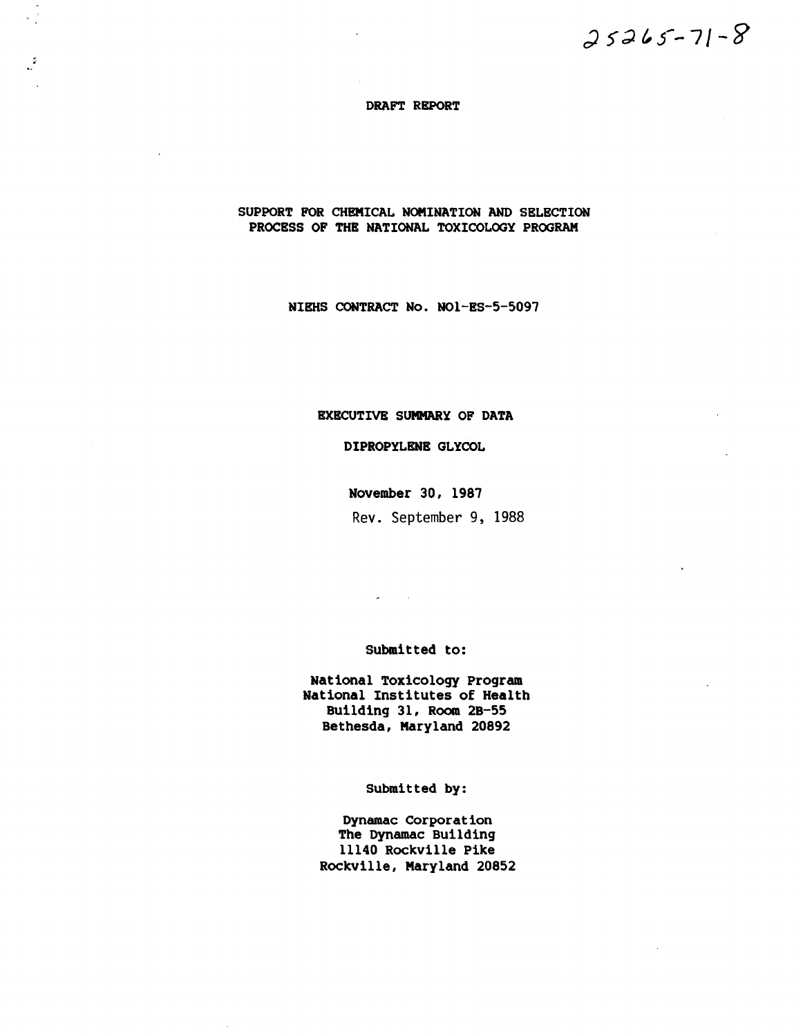$25265 - 71 - 8$ 

### DRAFT REPORT

SUPPORT FOR CHEMICAL NOMINATION AND SELECTION PROCESS OF THE NATIONAL TOXICOLOGY PROGRAM

NIEHS CONTRACT No. NOl-ES-5-5097

## EXECUTIVE SUMMARY OF DATA

#### DIPROPYLENE GLYCOL

November 30, 1987 Rev. September 9, 1988

# Submitted to:

National Toxicology Program National Institutes of Health Building 31, Room 2B-55 Bethesda, Maryland 20892

### Submitted by:

Dynamac Corporation The Dynamac Building 11140 Rockville Pike Rockville, Maryland 20852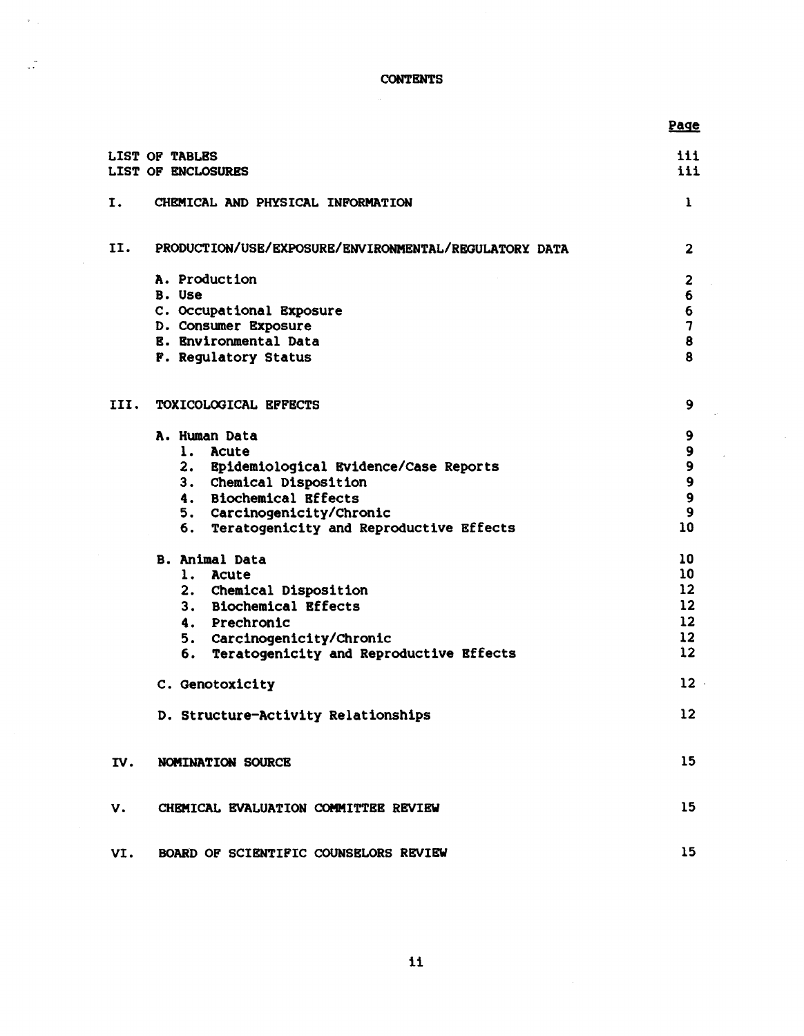**CONTENTS** 

 $\tilde{\mathcal{F}}_{\text{max}}$ 

 $\mathbb{R}^2$ 

|      |                                                                                                                                                                                                                                                                                                                                                                                                                  | Page                                                                                                                          |
|------|------------------------------------------------------------------------------------------------------------------------------------------------------------------------------------------------------------------------------------------------------------------------------------------------------------------------------------------------------------------------------------------------------------------|-------------------------------------------------------------------------------------------------------------------------------|
|      | <b>LIST OF TABLES</b><br><b>LIST OF ENCLOSURES</b>                                                                                                                                                                                                                                                                                                                                                               | iii<br>iii                                                                                                                    |
| Ι.   | CHEMICAL AND PHYSICAL INFORMATION                                                                                                                                                                                                                                                                                                                                                                                | 1                                                                                                                             |
| II.  | PRODUCTION/USE/EXPOSURE/ENVIRONMENTAL/REGULATORY DATA                                                                                                                                                                                                                                                                                                                                                            | $\mathbf{2}$                                                                                                                  |
|      | A. Production<br>B. Use<br>C. Occupational Exposure<br>D. Consumer Exposure<br>E. Environmental Data<br>F. Regulatory Status                                                                                                                                                                                                                                                                                     | $\mathbf{z}$<br>6<br>$\begin{array}{c} 6 \\ 7 \\ 8 \end{array}$<br>8                                                          |
| III. | TOXICOLOGICAL EFFECTS                                                                                                                                                                                                                                                                                                                                                                                            | 9                                                                                                                             |
|      | A. Human Data<br>1. Acute<br>2. Epidemiological Evidence/Case Reports<br>3. Chemical Disposition<br>4. Biochemical Effects<br>5. Carcinogenicity/Chronic<br>6. Teratogenicity and Reproductive Effects<br><b>B. Animal Data</b><br>1. Acute<br>2. Chemical Disposition<br>3. Biochemical Effects<br>4. Prechronic<br>5. Carcinogenicity/Chronic<br>6. Teratogenicity and Reproductive Effects<br>C. Genotoxicity | 9<br>9<br>9<br>9<br>9<br>$\overline{9}$<br>10<br>10<br>10<br>12<br>12<br>12<br>12 <sup>2</sup><br>$12 \overline{ }$<br>$12 -$ |
|      | D. Structure-Activity Relationships                                                                                                                                                                                                                                                                                                                                                                              | 12                                                                                                                            |
| IV.  | NOMINATION SOURCE                                                                                                                                                                                                                                                                                                                                                                                                | 15                                                                                                                            |
| v.   | CHEMICAL EVALUATION COMMITTEE REVIEW                                                                                                                                                                                                                                                                                                                                                                             | 15                                                                                                                            |
| VI.  | BOARD OF SCIENTIFIC COUNSELORS REVIEW                                                                                                                                                                                                                                                                                                                                                                            | 15                                                                                                                            |

À.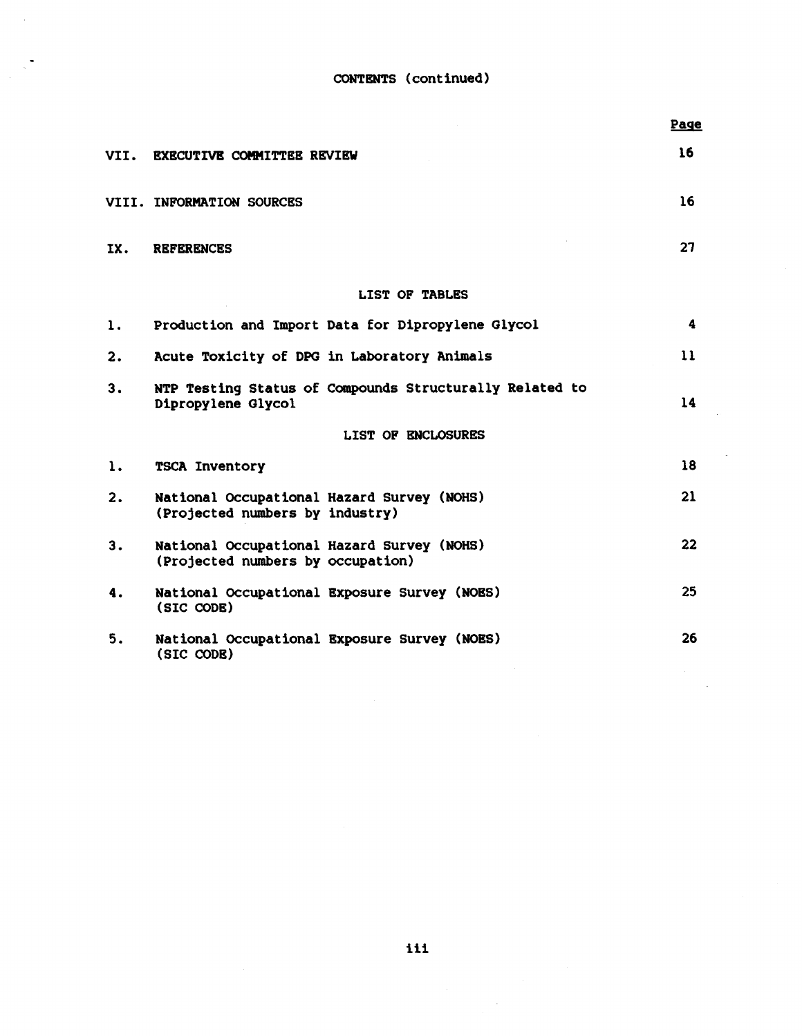CONTENTS (continued)

 $\bar{z}$ 

|              |                                                                                 | <u>Page</u> |
|--------------|---------------------------------------------------------------------------------|-------------|
| VII.         | <b>EXECUTIVE COMMITTEE REVIEW</b>                                               | 16          |
|              | VIII. INFORMATION SOURCES                                                       | 16          |
| IX.          | <b>REFERENCES</b>                                                               | 27          |
|              | <b>LIST OF TABLES</b>                                                           |             |
| 1.           | Production and Import Data for Dipropylene Glycol                               | 4           |
| $\mathbf{2}$ | Acute Toxicity of DPG in Laboratory Animals                                     | 11          |
| 3.           | NTP Testing Status of Compounds Structurally Related to<br>Dipropylene Glycol   | 14          |
|              | LIST OF ENCLOSURES                                                              |             |
| ı.           | <b>TSCA Inventory</b>                                                           | 18          |
| 2.           | National Occupational Hazard Survey (NOHS)<br>(Projected numbers by industry)   | 21          |
| 3.           | National Occupational Hazard Survey (NOHS)<br>(Projected numbers by occupation) | 22          |
| 4.           | National Occupational Exposure Survey (NOES)<br>(SIC CODE)                      | 25          |
| 5.           | National Occupational Exposure Survey (NOES)<br>(SIC CODE)                      | 26          |

 $\sim$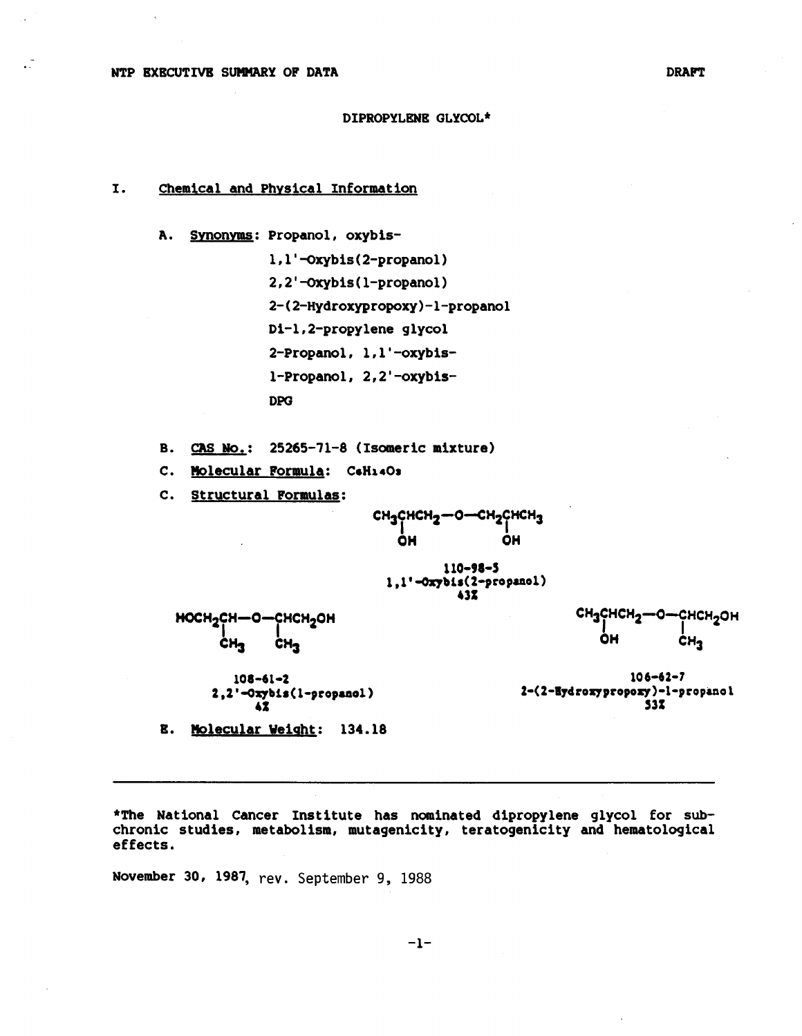### DIPROPYLENE GLYCOL\*

# I. Chemical and Physical Information

A. Synonyms: Propanol, oxybis-

```
l,l'-oxybis(2-propanol) 
2,2'-oxybis(l-propanol) 
2-(2-Hydroxypropoxy)-1-propanol 
Di-1,2-propylene glycol 
2-Propanol, l,l'-oxybis-
1-Propanol, 2,2'-oxybis-
DPG
```
B. CAS No.: 25265-11-8 (Isomeric mixture)

c. Molecular Formula: C•H1•0•

c. Structural Formulas:



2•(2-lydrozypropozy)-1-prop&nol ,31

B. Molecular Weight: 134.18

42

ĊH-

2,2'-Qzybit(l-propaaol)

\*The National Cancer Institute has nominated dipropylene glycol for subchronic studies, metabolism, mutagenicity, teratogenicity and hematological effects.

November 30, 1987, rev. September 9, 1988

 $-1-$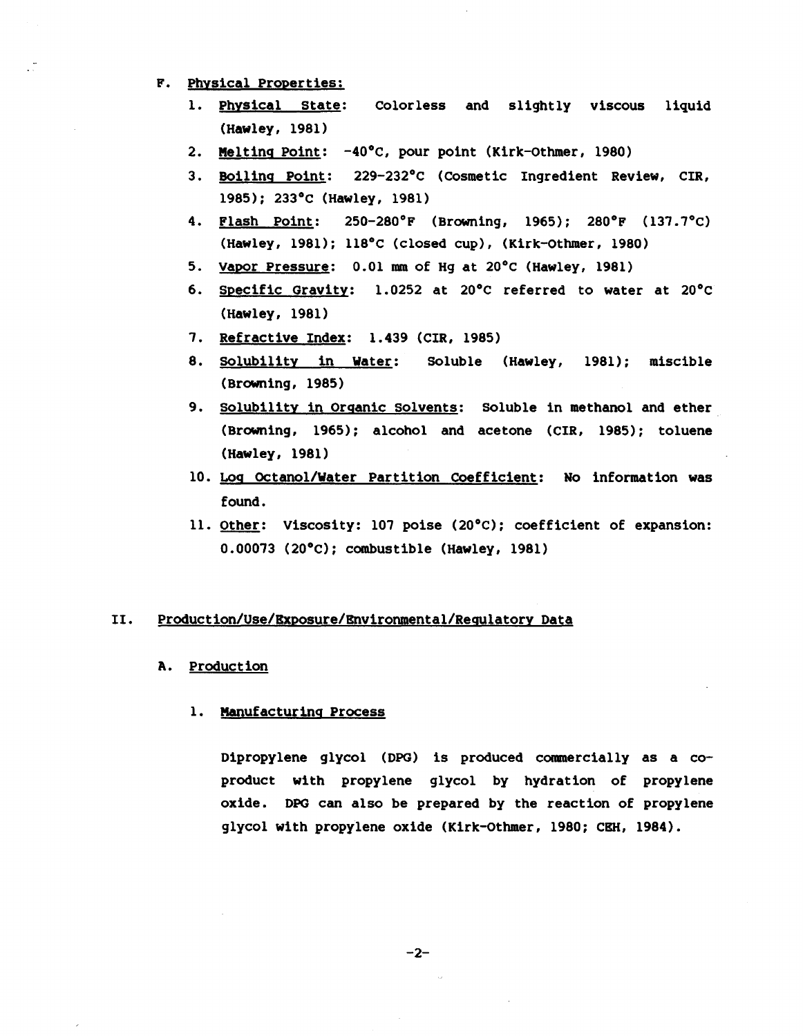- F. Physical Properties:
	- 1. Physical State: Colorless and slightly viscous liquid (Hawley, 1981)
	- 2. Melting Point: -40°C, pour point (Kirk-Othmer, 1980)
	- 3. Boiling Point: 229-232°C (Cosmetic Ingredient Review, CIR, 1985); 233°C (Hawley, 1981)
	- 4. Flash Point: 250-280°F (Browning, 1965); 280°F (137.7°C) (Hawley, 1981); ll8°C (closed cup), (Kirk-Othmer, 1980)
	- 5. Vapor Pressure: 0.01 mm of Hg at 20°C (Hawley, 1981)
	- 6. Specific Gravity: 1.0252 at 20°C referred to water at 20°C (Hawley, 1981)
	- 7. Refractive Index: 1.439 (CIR, 1985)
	- 8. Solubility in Water: Soluble (Hawley, 1981); miscible (Browning, 1985)
	- 9. Solubility in Organic Solvents: Soluble in methanol and ether (Browning, 1965); alcohol and acetone (CIR, 1985); toluene (Hawley, 1981)
	- 10. Log Octanol/Water Partition Coefficient: No information was found.
	- 11. Other: Viscosity: 107 poise (20°C); coefficient of expansion: 0.00073 (20°C); combustible (Hawley, 1981)

# II. Production/Use/Exposure/Environmental/Regulatory Data

A. Production

# 1. Manufacturing Process

Dipropylene glycol (DPG) is produced commercially as a coproduct with propylene glycol by hydration of propylene oxide. DPG can also be prepared by the reaction of propylene glycol with propylene oxide (Kirk-Othmer, 1980; CEH, 1984).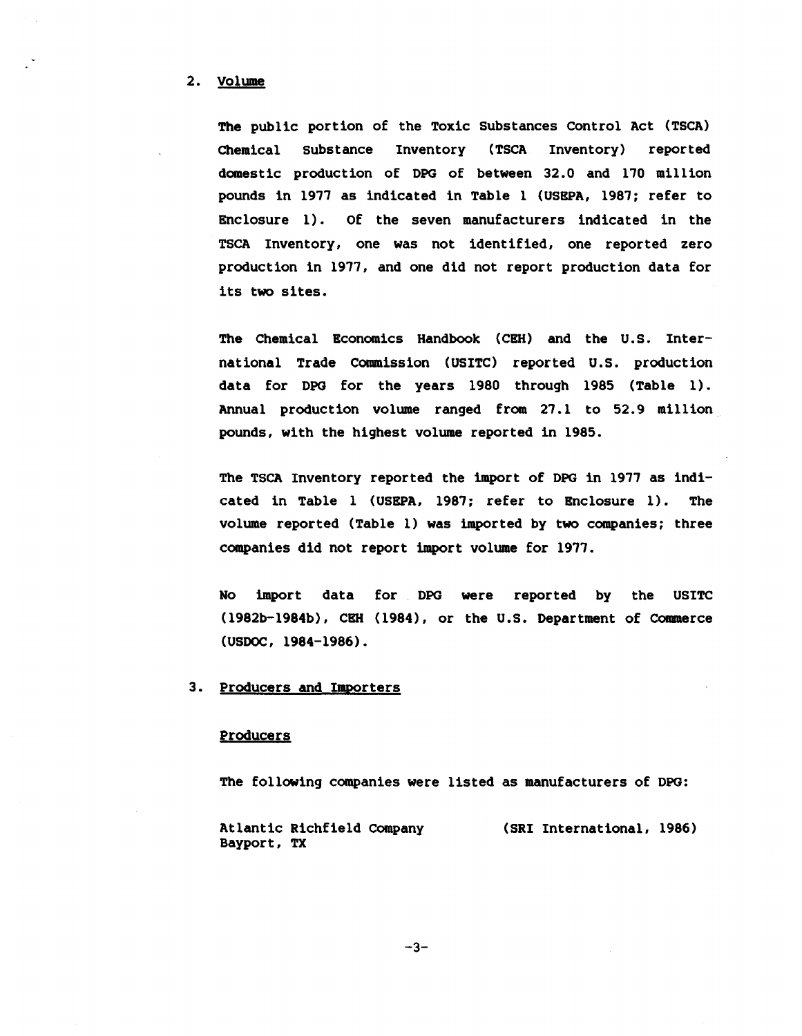#### 2. Volume

The public portion of the Toxic substances Control Act (TSCA) Chemical substance Inventory (TSCA Inventory) reported domestic production of DPG of between 32.0 and 110 million pounds in 1911 as indicated in Table 1 (USEPA, 1981; refer to Enclosure 1). of the seven manufacturers indicated in the TSCA Inventory, one was not identified, one reported zero production in 1911, and one did not report production data for its two sites.

The Chemical Economics Handbook (CEH) and the U.S. International Trade Commission (USITC) reported u.s. production data for DPG for the years 1980 through 1985 (Table 1). Annual production volume ranged from 21.1 to 52.9 million pounds, with the highest volume reported in 1985.

The TSCA Inventory reported the import of DPG in 1977 as indicated in Table l (USEPA, 1981; refer to Enclosure 1). The volume reported (Table 1) was imported by two companies; three companies did not report import volume for 1911.

No import data for DPG were reported by the USITC (1982b-1984b), CEH (1984), or the u.s. Department of Commerce (USDOC, 1984-1986).

## 3. Producers and Importers

#### Producers

The following companies were listed as manufacturers of DPG:

Atlantic Richfield Company (SRI International, 1986) Bayport, TX

 $-3-$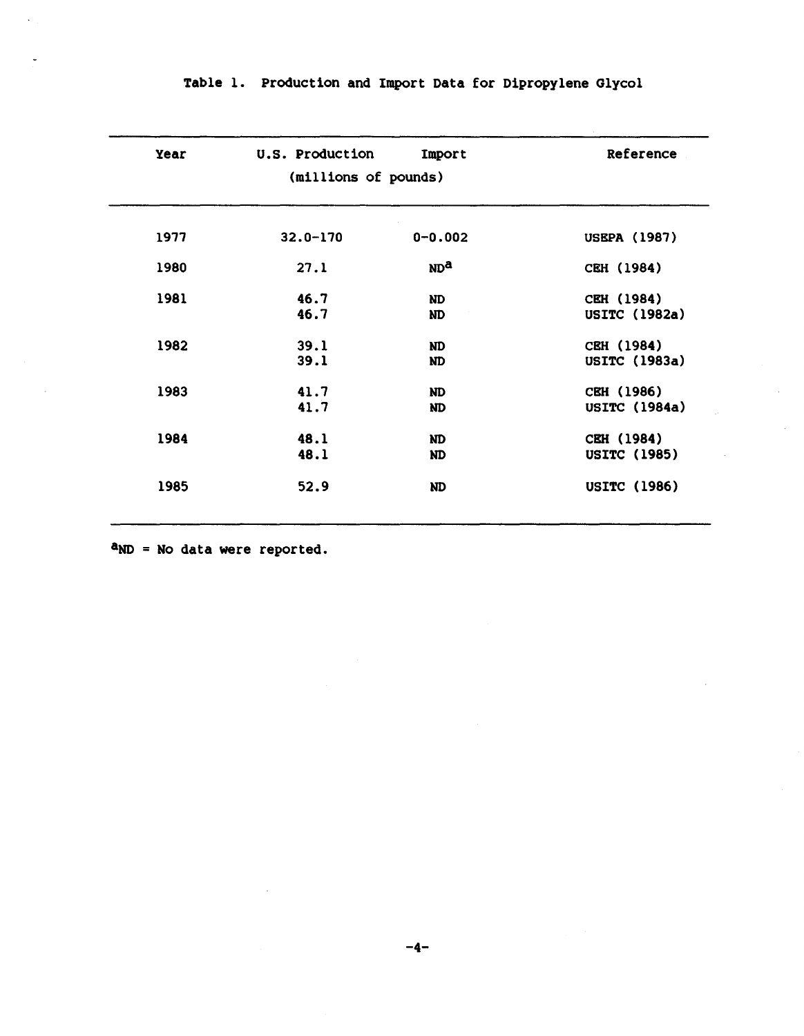| Year                 | U.S. Production | Import                 | Reference                          |  |
|----------------------|-----------------|------------------------|------------------------------------|--|
| (millions of pounds) |                 |                        |                                    |  |
| 1977                 | $32.0 - 170$    | $0 - 0.002$            | <b>USEPA (1987)</b>                |  |
| 1980                 | 27.1            | ND <sup>a</sup>        | CEH (1984)                         |  |
| 1981                 | 46.7<br>46.7    | <b>ND</b><br><b>ND</b> | CEH (1984)<br><b>USITC</b> (1982a) |  |
| 1982                 | 39.1<br>39.1    | <b>ND</b><br><b>ND</b> | CEH (1984)<br><b>USITC (1983a)</b> |  |
| 1983                 | 41.7<br>41.7    | <b>ND</b><br><b>ND</b> | CEH (1986)<br><b>USITC</b> (1984a) |  |
| 1984                 | 48.1<br>48.1    | <b>ND</b><br><b>ND</b> | CEH (1984)<br><b>USITC (1985)</b>  |  |
| 1985                 | 52.9            | <b>ND</b>              | <b>USITC (1986)</b>                |  |

 $\sim$ 

aND = No data were reported.

 $\ddot{\phantom{a}}$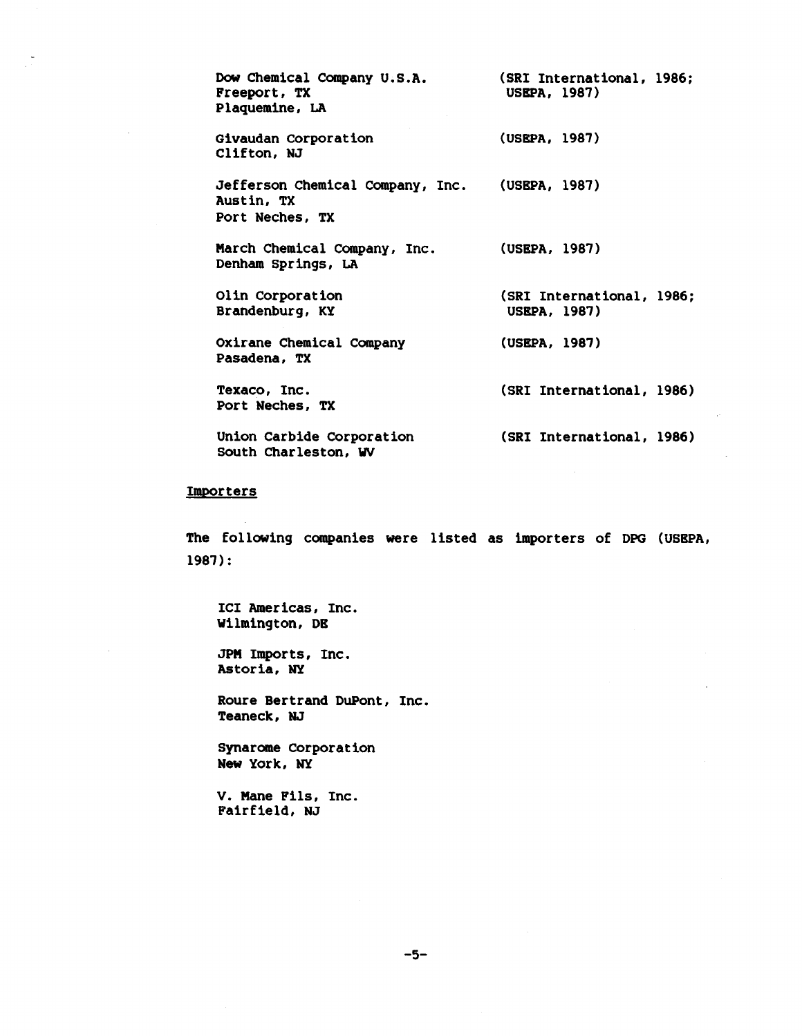| Dow Chemical Company U.S.A.<br>Freeport, TX<br>Plaquemine, LA     | (SRI International, 1986;<br><b>USEPA, 1987)</b> |
|-------------------------------------------------------------------|--------------------------------------------------|
| Givaudan Corporation<br>Clifton, NJ                               | (USEPA, 1987)                                    |
| Jefferson Chemical Company, Inc.<br>Austin. TX<br>Port Neches, TX | (USEPA, 1987)                                    |
| March Chemical Company, Inc.<br>Denham Springs, LA                | (USEPA, 1987)                                    |
| Olin Corporation<br>Brandenburg, KY                               | (SRI International, 1986:<br>USEPA, 1987)        |
| Oxirane Chemical Company<br>Pasadena. TX                          | (USEPA, 1987)                                    |
| Texaco, Inc.<br>Port Neches, TX                                   | (SRI International, 1986)                        |
| Union Carbide Corporation<br>South Charleston, WV                 | (SRI International, 1986)                        |

## **Importers**

The following companies were listed as importers of DPG (USBPA, 1987):

ICI Americas, Inc. Wilmington, DB

JPM Imports, Inc. Astoria, NY

Roure Bertrand DuPont, Inc. Teaneck, NJ

Synarome corporation New York, NY

v. Mane Fils, Inc. Fairfield, NJ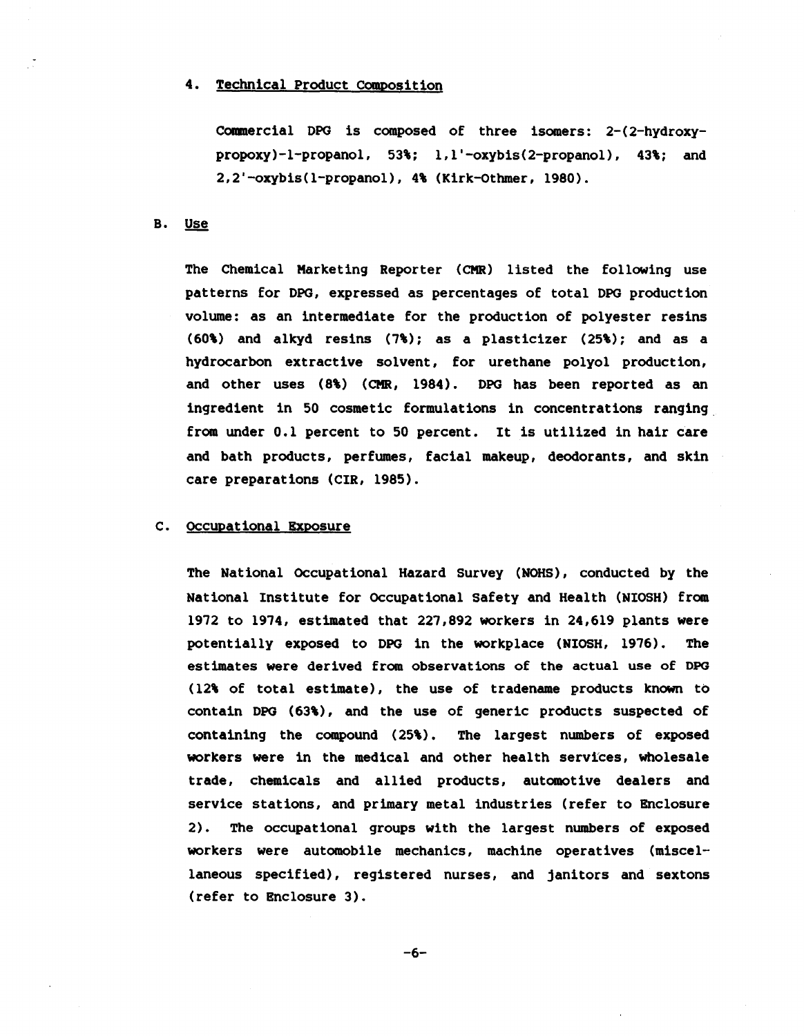## 4. Technical Product Composition

Commercial DPG is composed of three isomers:  $2-(2-hydroxy$ propoxy)-1-propanol, 53%; l,l'-oxybis(2-propanol), 43%; and 2,2'-oxybis(l-propanol), 4\ (Kirk-othmer, 1980).

#### B. Use

The Chemical Marketing Reporter (CMR) listed the following use patterns for DPG, expressed as percentages of total DPG production volume: as an intermediate for the production of polyester resins (60\) and alkyd resins {7\); as a plasticizer (25\); and as a hydrocarbon extractive solvent, for urethane polyol production, and other uses {8\} (CMR, 1984). DPG has been reported as an ingredient in 50 cosmetic formulations in concentrations ranging. from under 0.1 percent to 50 percent. It is utilized in hair care and bath products, perfumes, facial makeup, deodorants, and skin care preparations (CIR, 1985).

#### c. occupational Exposure

The National Occupational Hazard survey (NOHS), conducted by the National Institute for Occupational safety and Health (NIOSH) from 1972 to 1974, estimated that 227,892 workers in 24,619 plants were potentially exposed to DPG in the workplace (NIOSH, 1976). The estimates were derived from observations of the actual use of DPG {12\ of total estimate), the use of tradename products known to contain DPG (63\), and the use of generic products suspected of containing the compound (25\} • The largest numbers of exposed workers were in the medical and other health servtces, wholesale trade, chemicals and allied products, automotive dealers and service stations, and primary metal industries (refer to Enclosure 2). The occupational groups with the largest numbers of exposed workers were automobile mechanics, machine operatives (miscellaneous specified), registered nurses, and janitors and sextons (refer to Enclosure 3).

 $-6-$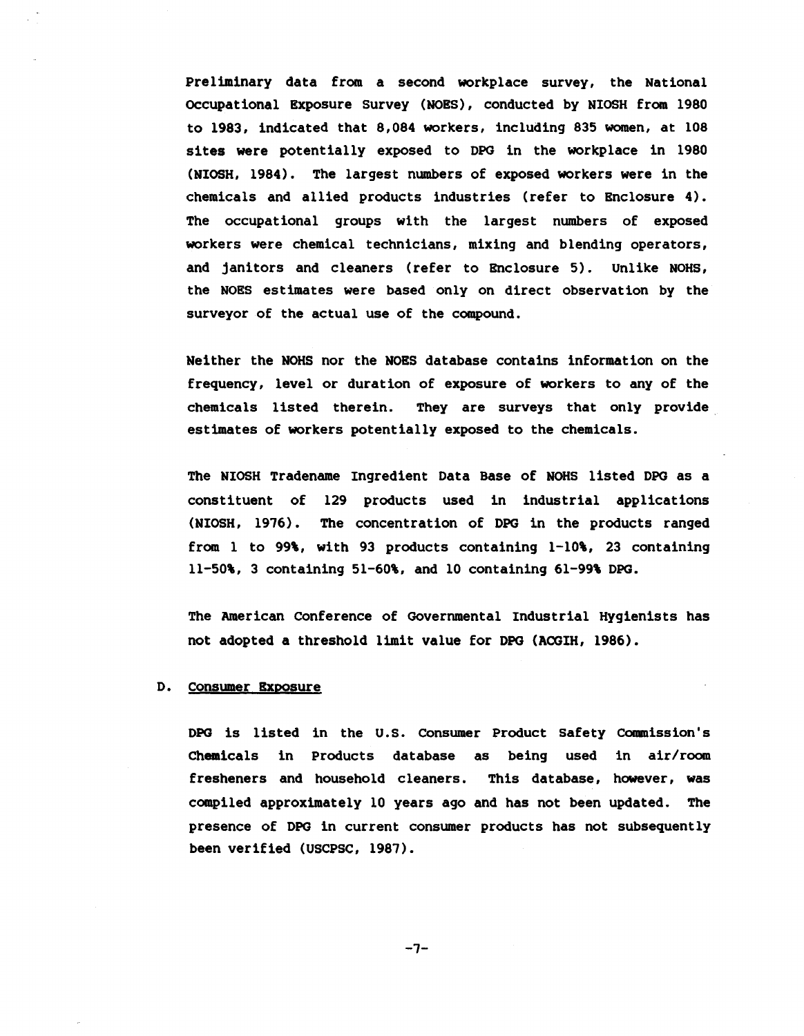Preliminary data from a second workplace survey, the National Occupational Exposure survey (NOES), conducted by NIOSH from 1980 to 1983, indicated that 8,084 workers, including 835 women, at 108 sites were potentially exposed to DPG in the workplace in 1980 (NIOSH, 1984). The largest numbers of exposed workers were in the chemicals and allied products industries (refer to Enclosure 4). The occupational groups with the largest numbers of exposed workers were chemical technicians, mixing and blending operators, and janitors and cleaners (refer to Enclosure 5). Unlike NOHS, the NOES estimates were based only on direct observation by the surveyor of the actual use of the compound.

Neither the NOHS nor the NOES database contains information on the frequency, level or duration of exposure of workers to any of the chemicals listed therein. They are surveys that only provide. estimates of workers potentially exposed to the chemicals.

The NIOSH Tradename Ingredient Data Base of NOHS listed DPG as a constituent of 129 products used in industrial applications (NIOSH, 1976). The concentration of DPG in the products ranged from 1 to  $99\$ , with 93 products containing  $1-10\$ , 23 containing 11-50\, 3 containing 51-60\, and 10 containing 61-99\ DPG.

The American Conference of Governmental Industrial Hygienists has not adopted a threshold limit value for DPG (ACGIH, 1986).

## D. consumer Exposure

DPG is listed in the U.S. Consumer Product Safety Commission's Chemicals in Products database as being used in air/room fresheners and household cleaners. This database, however, was compiled approximately 10 years ago and has not been updated. The presence of DPG in current consumer products has not subsequently been verified (USCPSC, 1987).

 $-7-$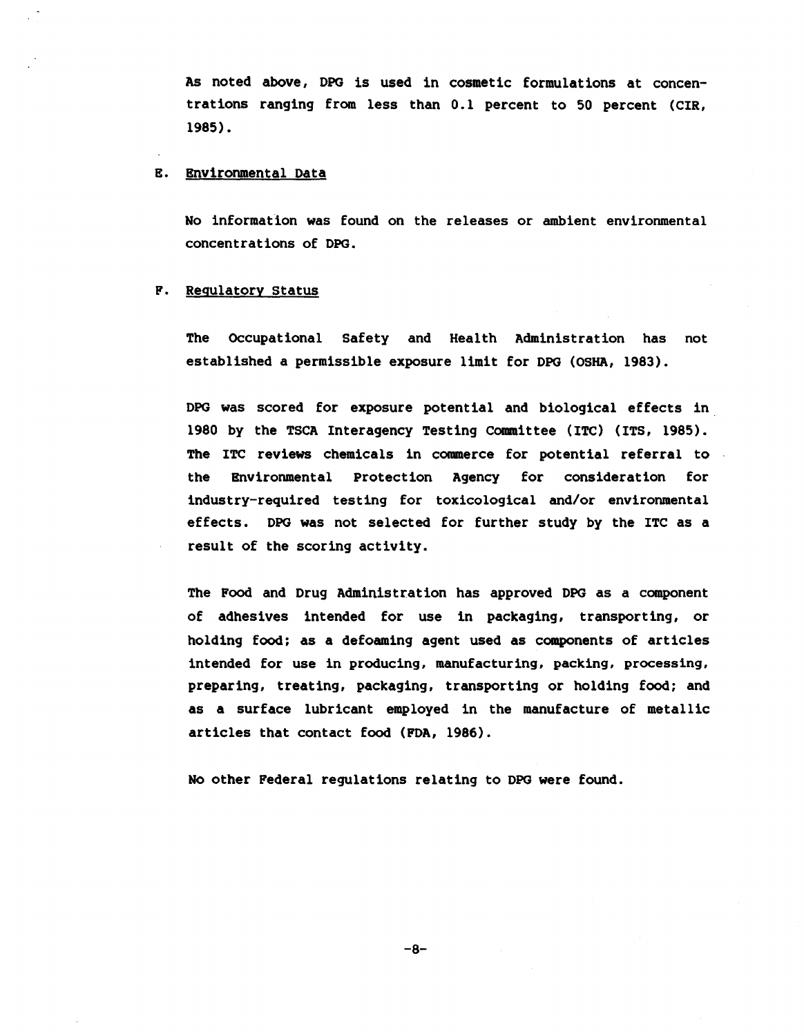As noted above, DPG is used in cosmetic formulations at concentrations ranging from less than 0.1 percent to 50 percent (CIR, 1985).

#### E. Environmental Data

No information was found on the releases or ambient environmental concentrations of DPG.

## F. Regulatory status

The occupational safety and Health Administration has not established a permissible exposure limit for DPG (OSHA, 1983).

DPG was scored for exposure potential and biological effects in . 1980 by the TSCA Interagency Testing committee (ITC) (ITS, 1985). The ITC reviews chemicals in commerce for potential referral to the Environmental Protection Agency for consideration for industry-required testing for toxicological and/or environmental effects. DPG was not selected for further study by the ITC as a result of the scoring activity.

The Food and Drug Administration has approved DPG as a component of adhesives intended for use in packaging, transporting, or holding food; as a defoaming agent used as components of articles intended for use in producing, manufacturing, packing, processing, preparing, treating, packaging, transporting or holding food; and as a surface lubricant employed in the manufacture of metallic articles that contact food (FDA, 1986).

No other Federal regulations relating to DPG were found.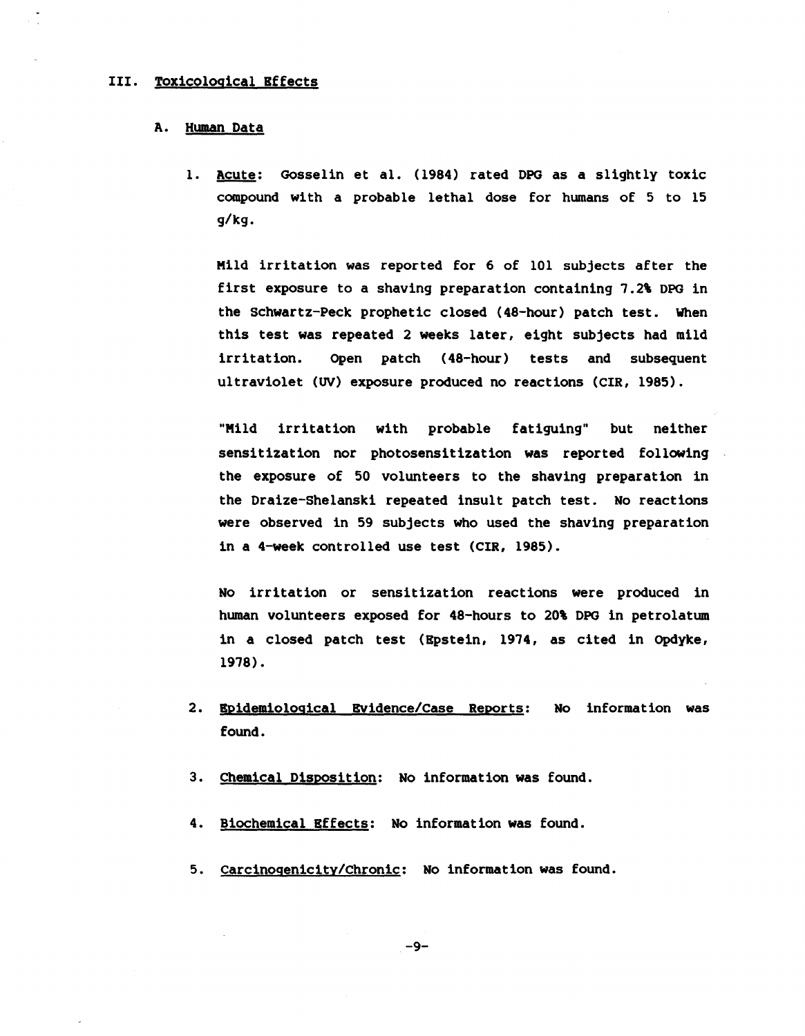#### III. Toxicological Effects

#### A. Human Data

1. Acute: Gosselin et al. (1984) rated DPG as a slightly toxic compound with a probable lethal dose for humans of 5 to 15 g/kg.

Mild irritation was reported for 6 of 101 subjects after the first exposure to a shaving preparation containing 7.2\ DPG in the Schwartz-Peck prophetic closed (48-hour) patch test. When this test was repeated 2 weeks later, eight subjects had mild irritation. Open patch (48-hour) tests and subsequent ultraviolet (UV) exposure produced no reactions (CIR, 1985).

"Mild irritation with probable fatiguing" but neither sensitization nor photosensitization was reported following the exposure of 50 volunteers to the shaving preparation in the Draize-Shelanski repeated insult patch test. No reactions were observed in 59 subjects who used the shaving preparation in a 4-week controlled use test (CIR, 1985).

No irritation or sensitization reactions were produced in human volunteers exposed for 48-hours to 20\ DPG in petrolatum in a closed patch test (Epstein, 1974, as cited in Opdyke, 1978).

- 2. Epidemiological Evidence/Case Reports: No information was found.
- 3. Chemical Disposition: No information was found.
- 4. Biochemical Effects: No information was found.
- 5. Carcinogenicity/Chronic: No information was found.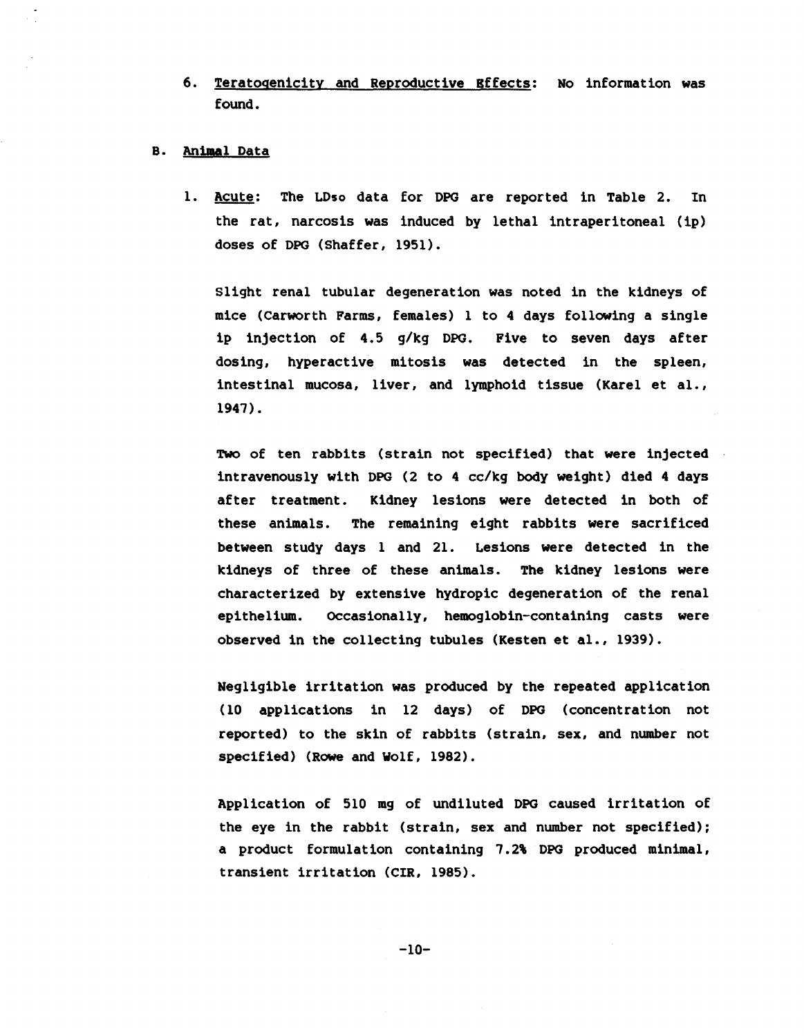6. Teratogenicity and Reproductive Effects: No information was found.

### B. Animal Data

1. Acute: The LDso data for DPG are reported in Table 2. In the rat, narcosis was induced by lethal intraperitoneal (ip) doses of DPG (Shaffer, 1951).

Slight renal tubular degeneration was noted in the kidneys of mice (Carworth Farms, females) 1 to 4 days following a single ip injection of 4.5 g/kg DPG. Five to seven days after dosing, hyperactive mitosis was detected in the spleen, intestinal mucosa, liver, and lymphoid tissue (Karel et al., 1947).

Two of ten rabbits (strain not specified} that were injected intravenously with DPG (2 to 4 cc/kg body weight) died 4 days after treatment. Kidney lesions were detected in both of these animals. The remaining eight rabbits were sacrificed between study days 1 and 21. Lesions were detected in the kidneys of three of these animals. The kidney lesions were characterized by extensive hydropic degeneration of the renal epithelium. Occasionally, hemoglobin-containing casts were observed in the collecting tubules (Kesten et al., 1939).

Negligible irritation was produced by the repeated application (10 applications in 12 days) of DPG (concentration not reported) to the skin of rabbits (strain, sex, and number not specified) (Rowe and Wolf, 1982}.

Application of 510 mg of undiluted DPG caused irritation of the eye in the rabbit (strain, sex and number not specified): a product formulation containing 7. 2\ DPG produced minimal, transient irritation (CIR, 1985}.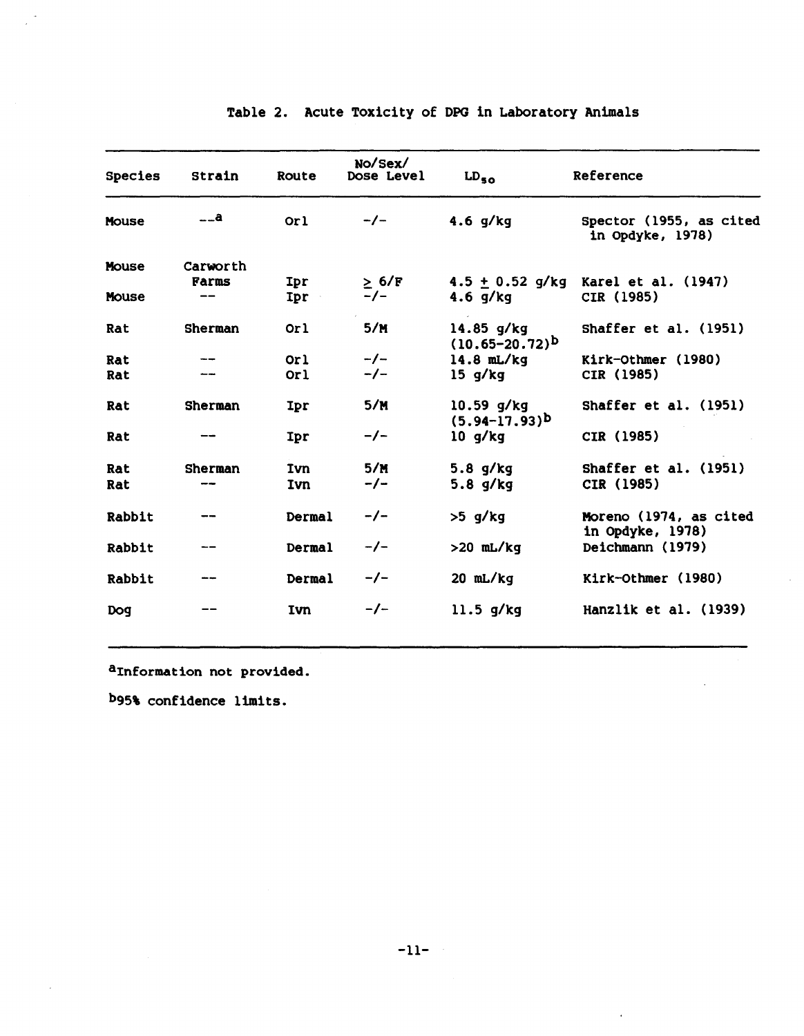| <b>Species</b> | Strain         | Route           | No/Sex/<br>Dose Level | $LD_{50}$                           | Reference                                   |
|----------------|----------------|-----------------|-----------------------|-------------------------------------|---------------------------------------------|
| <b>Mouse</b>   | $a_{-}$        | or <sub>l</sub> | $-/-$                 | 4.6 $q/kg$                          | Spector (1955, as cited<br>in Opdyke, 1978) |
| Mouse          | Carworth       |                 |                       |                                     |                                             |
|                | Farms          | Ipr             | > 6/F                 |                                     | $4.5 \pm 0.52$ g/kg Karel et al. (1947)     |
| Mouse          |                | Ipr             | $-/-$                 | 4.6 $q/kg$                          | CIR (1985)                                  |
| Rat            | <b>Sherman</b> | Or <sub>1</sub> | 5/M                   | 14.85 $g/kg$<br>$(10.65 - 20.72)^b$ | Shaffer et al. (1951)                       |
| Rat            |                | or1             | $-/-$                 | $14.8$ mL/kg                        | Kirk-Othmer (1980)                          |
| Rat            |                | Or <sub>1</sub> | $-/-$                 | $15$ g/kg                           | CIR (1985)                                  |
| Rat            | Sherman        | Ipr             | 5/M                   | $10.59$ g/kg<br>$(5.94-17.93)^D$    | Shaffer et al. (1951)                       |
| Rat            | --             | Ipr             | $-/-$                 | 10 g/kg                             | CIR (1985)                                  |
| Rat            | <b>Sherman</b> | Ivn             | 5/M                   | $5.8$ g/kg                          | Shaffer et al. (1951)                       |
| Rat            |                | Ivn             | $-/-$                 | $5.8$ g/kg                          | CIR (1985)                                  |
| Rabbit         |                | Dermal          | $-/-$                 | $>5$ g/kg                           | Moreno (1974, as cited<br>in Opdyke, 1978)  |
| Rabbit         |                | Dermal          | $-/-$                 | >20 mL/kg                           | Deichmann (1979)                            |
| Rabbit         |                | <b>Dermal</b>   | $-/-$                 | $20$ mL/kg                          | Kirk-Othmer (1980)                          |
| Dog            |                | <b>Ivn</b>      | $-/-$                 | $11.5$ g/kg                         | Hanzlik et al. (1939)                       |

# Table 2. Acute Toxicity of DPG in Laboratory Animals

aInformation not provided.

b95% confidence limits.

 $\frac{1}{\sqrt{2}}$ 

 $\bar{\star}$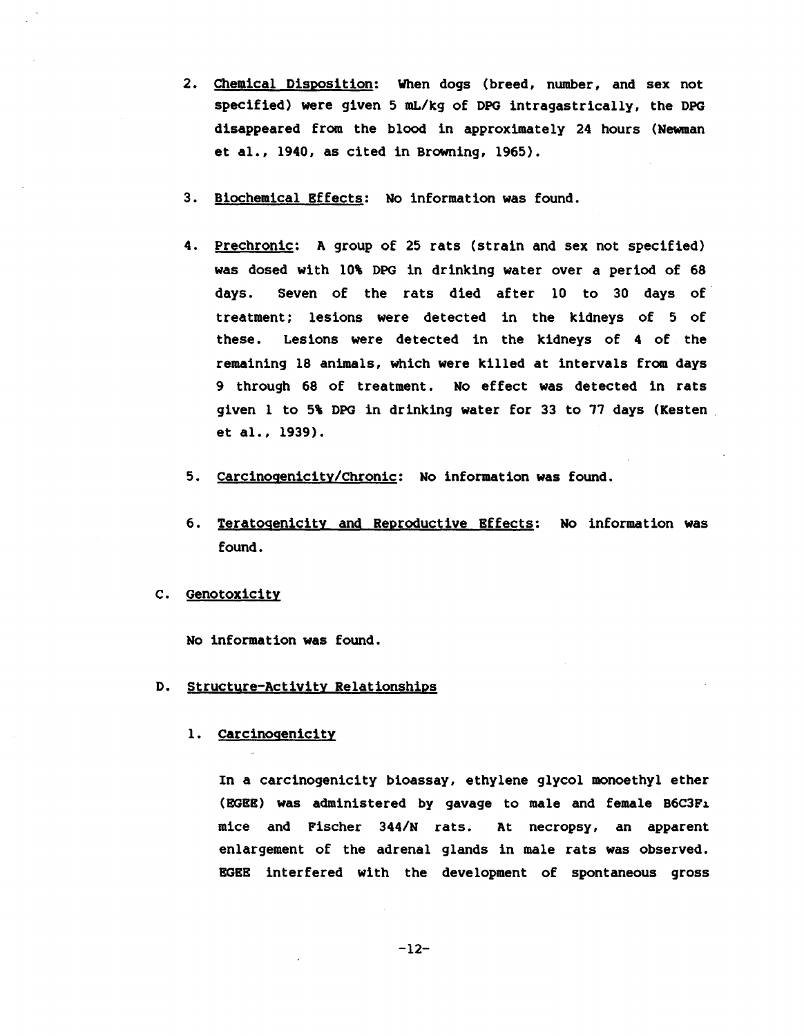- 2. Chemical Disposition: When dogs (breed, number, and sex not specified) were given 5 mL/kg of DPG intragastrically, the DPG disappeared from the blood in approximately 24 hours (Newman et al., 1940, as cited in Browning, 1965).
- 3. Biochemical Effects: No information was found.
- 4. Prechronic: A group of 25 rats (strain and sex not specified) was dosed with 10% DPG in drinking water over a period of 68 days. Seven of the rats died after 10 to 30 days of treatment; lesions were detected in the kidneys of 5 of these. Lesions were detected in the kidneys of 4 of the remaining 18 animals, which were killed at intervals from days 9 through 68 of treatment. No effect was detected in rats given 1 to 5% DPG in drinking water for 33 to 77 days (Kesten et al., 1939).
- 5. Carcinogenicity/Chronic: No information was found.
- 6. Teratogenicity and Reproductive Effects: No information was found.

# C. Genotoxicity

No information was found.

D. Structure-Activity Relationships

# 1. Carcinogenicity

In a carcinogenicity bioassay, ethylene glycol monoethyl ether (EGEE) was administered by gavage to male and female B6CJF1 mice and Fischer 344/N rats. At necropsy, an apparent enlargement of the adrenal glands in male rats was observed. EGEE interfered with the development of spontaneous gross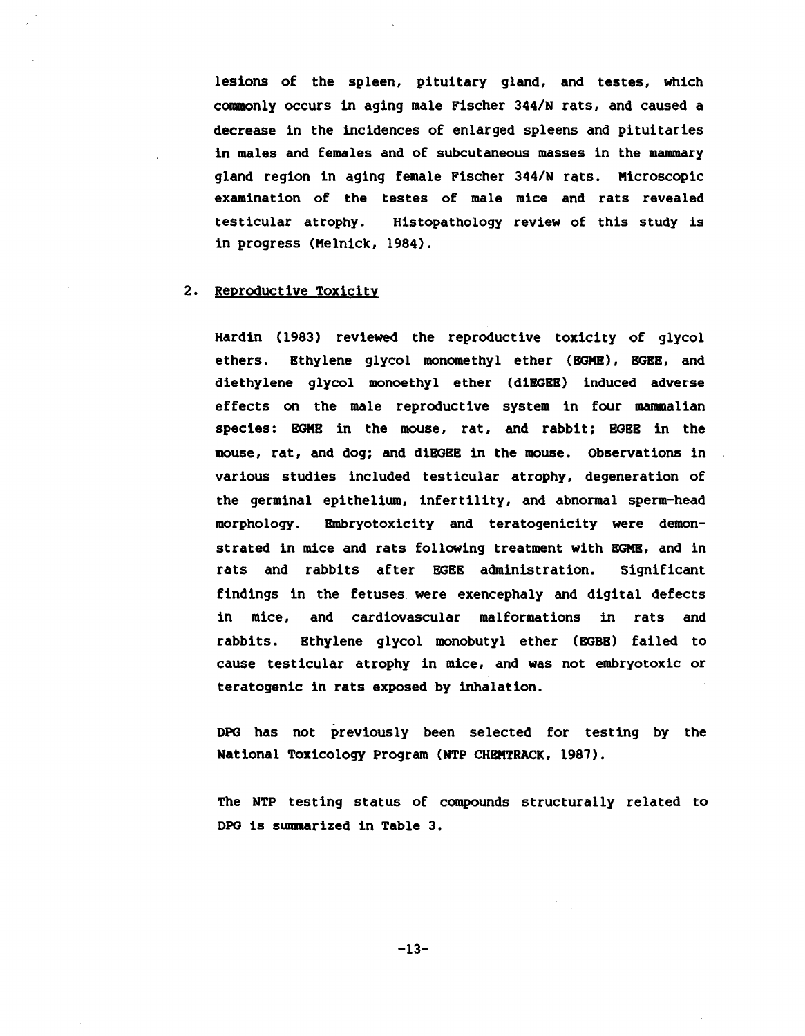lesions of the spleen, pituitary gland, and testes, which commonly occurs in aging male Fischer 344/N rats, and caused a decrease in the incidences of enlarged spleens and pituitaries in males and females and of subcutaneous masses in the mammary gland region in aging female Fischer 344/N rats. Microscopic examination of the testes of male mice and rats revealed testicular atrophy. Histopathology review of this study is in progress (Melnick, 1984).

## 2. Reproductive Toxicity

Hardin (1983) reviewed the reproductive toxicity of glycol ethers. Ethylene glycol monomethyl ether (BGME), BGBB, and diethylene glycol monoethyl ether (diEGBB) induced adverse effects on the male reproductive system in four manmalian species: BGME in the mouse, rat, and rabbit: BGBB in the mouse, rat, and dog; and diEGBB in the mouse. Observations in various studies included testicular atrophy, degeneration of the germinal epithelium, infertility, and abnormal sperm-head morphology. Bmbryotoxicity and teratogenicity were demonstrated in mice and rats following treatment with BGME, and in rats and rabbits after BGBB administration. Significant findings in the fetuses. were exencephaly and digital defects in mice, and cardiovascular malformations in rats and rabbits. Ethylene glycol monobutyl ether (EGBB) failed to cause testicular atrophy in mice, and was not embryotoxic or teratogenic in rats exposed by inhalation.

DPG has not previously been selected for testing by the National Toxicology Program (NTP CHBMTRACK, 1987).

The NTP testing status of compounds structurally related to DPG is summarized in Table 3.

 $-13-$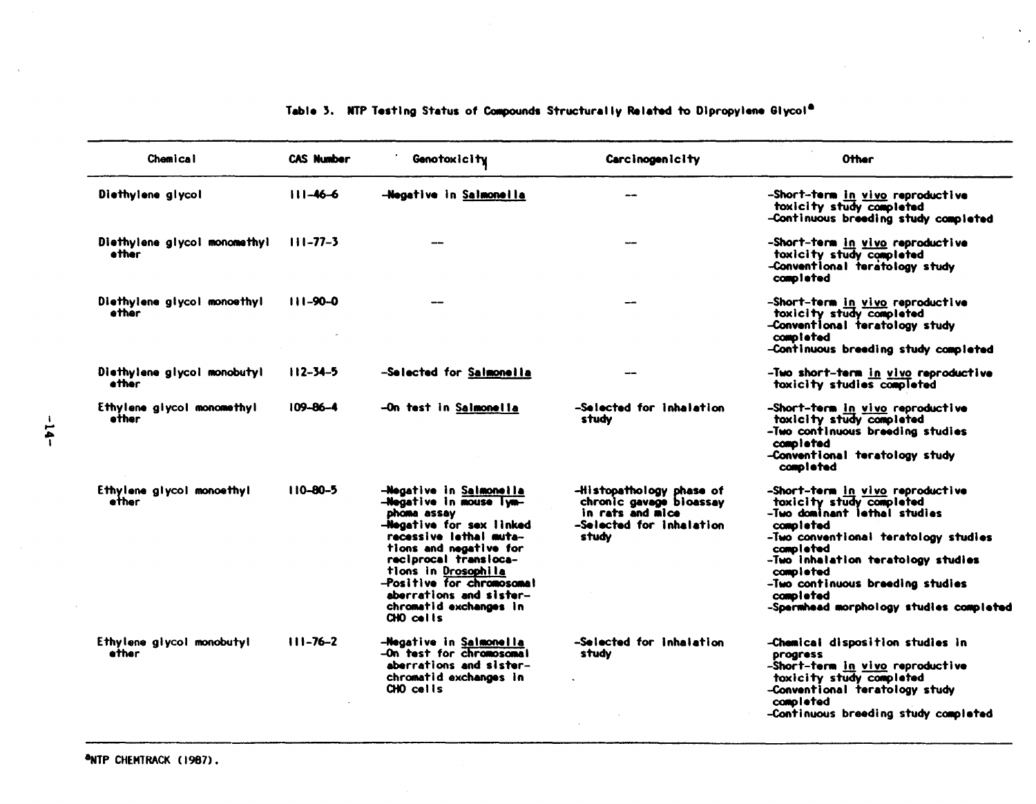| Chemical                              | <b>CAS Number</b> | Genotoxicity                                                                                                                                                                                                                                                                                     | Carcinogenicity                                                                                              | <b>Other</b>                                                                                                                                                                                                                                                                                                         |
|---------------------------------------|-------------------|--------------------------------------------------------------------------------------------------------------------------------------------------------------------------------------------------------------------------------------------------------------------------------------------------|--------------------------------------------------------------------------------------------------------------|----------------------------------------------------------------------------------------------------------------------------------------------------------------------------------------------------------------------------------------------------------------------------------------------------------------------|
| Diethylene glycol                     | 111-46-6          | -Negative in Salmoneila                                                                                                                                                                                                                                                                          |                                                                                                              | -Short-term in vivo reproductive<br>toxicity study completed<br>-Continuous breeding study completed                                                                                                                                                                                                                 |
| Diethylene glycol monomethyl<br>ether | $111 - 77 - 3$    |                                                                                                                                                                                                                                                                                                  |                                                                                                              | -Short-term <u>in vivo</u> reproductive<br>toxicity study completed<br>-Conventional teratology study<br>completed                                                                                                                                                                                                   |
| Diethylene glycol monoethyl<br>ether  | $111 - 90 - 0$    |                                                                                                                                                                                                                                                                                                  |                                                                                                              | -Short-term <u>in vivo</u> reproductive<br>toxicity study completed<br>-Conventional teratology study<br>completed<br>-Continuous breeding study completed                                                                                                                                                           |
| Diethylene glycol monobutyl<br>ether  | $112 - 34 - 5$    | -Selected for Salmonella                                                                                                                                                                                                                                                                         |                                                                                                              | -Two short-term in vivo reproductive<br>toxicity studies completed                                                                                                                                                                                                                                                   |
| Ethylene giycol monomethyl<br>ether   | $109 - 86 - 4$    | -On test in Salmonella                                                                                                                                                                                                                                                                           | -Selected for inhalation<br>study                                                                            | -Short-term in vivo reproductive<br>toxicity study completed<br>-Two continuous breeding studies<br>completed<br>-Conventional teratology study<br>completed                                                                                                                                                         |
| Ethylene glycol monoethyl<br>ether    | $110 - 80 - 5$    | -Negative in Salmonella<br>-Negative in mouse lym-<br>phoma assay<br>-Negative for sex linked<br>recessive lethal muta-<br>tions and negative for<br>reciprocal transloca-<br>tions in Drosophila<br>-Positive for chromosomal<br>aberrations and sister-<br>chromatid exchanges in<br>CHO cells | -Histopathology phase of<br>chronic gavage bloassay<br>in rats and mice<br>-Selected for Inhalation<br>studv | -Short-term in vivo reproductive<br>toxicity study completed<br>-Two dominant lethal studies<br>completed<br>-Two conventional teratology studies<br>campleted<br>-Two inhalation teratology studies<br>completed<br>-Two continuous breeding studies<br><b>completed</b><br>-Spermhead morphology studies completed |
| Ethylene giycol monobutyl<br>ether    | $111 - 76 - 2$    | -Negative in <u>Salmonella</u><br>-On test for chromosomal<br>aberrations and sister-<br>chromatid exchanges in<br>CHO cells                                                                                                                                                                     | -Selected for inhaiation<br>study                                                                            | -Chemical disposition studies in<br>progress<br>-Short-term in vivo reproductive<br>toxicity study completed<br>-Conventional teratology study<br><b>comoleted</b><br>-Continuous breeding study completed                                                                                                           |

# Table 3. NTP Testing Status of Compounds Structurally Related to Dipropylene Glycol<sup>®</sup>

 $\mathbf{v}$ 

<sup>a</sup>NTP CHEMTRACK (1987).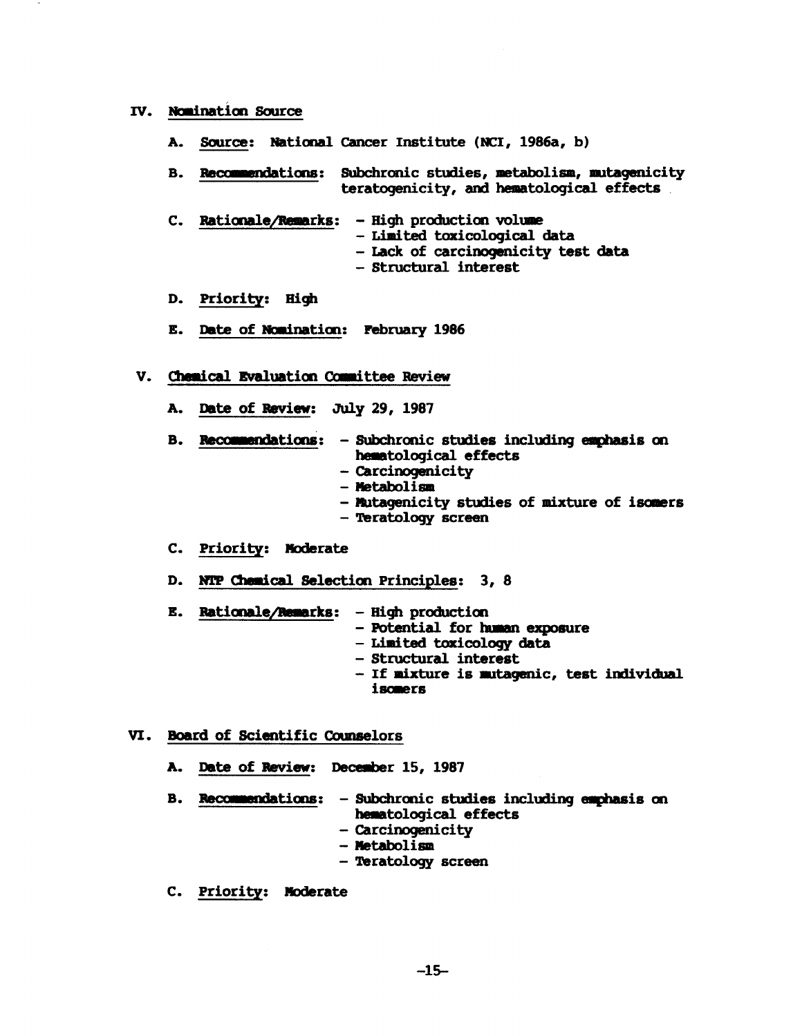#### IV. Nomination Source

- A. Source: National Cancer Institute (NCI, 1986a, b)
- B. Recommendations: Subchronic studies, metabolism, mutagenicity teratogenicity, and hematological effects
- C. Rationale/Remarks: High production volume  $-$  Limited toxicological data
	- - Lack of carcinogenicity test data
		- Structural interest
- D. Priority: High
- E. Date of Nomination: February 1986

# V. Chemical Evaluation Committee Review

A. Date of Review: July 29, 1987

B. Recommendations: - Subchronic studies including emphasis on hematological effects - carcinogenicity

- 
- Metabolisa
- Mutagenicity studies of mixture of iscmers<br>- Teratology screen
- 
- C. Priority: Moderate
- D. NTP Chemical Selection Principles: 3, 8
- E. Rationale/Remarks: High production
	- Potential for human exposure
	- Limited toxicology data<br>- Structural interest
	-
	- If mixture is mutagenic, test individual isomers

# VI. Board of SCientific COUnselors

- A. Date of Review: December 15, 1987
- B. Recommendations: Subchronic studies including emphasis on hematological effects
	- carcinogenicity
	- Metabolisa
	- Teratology screen
- C. Priority: Moderate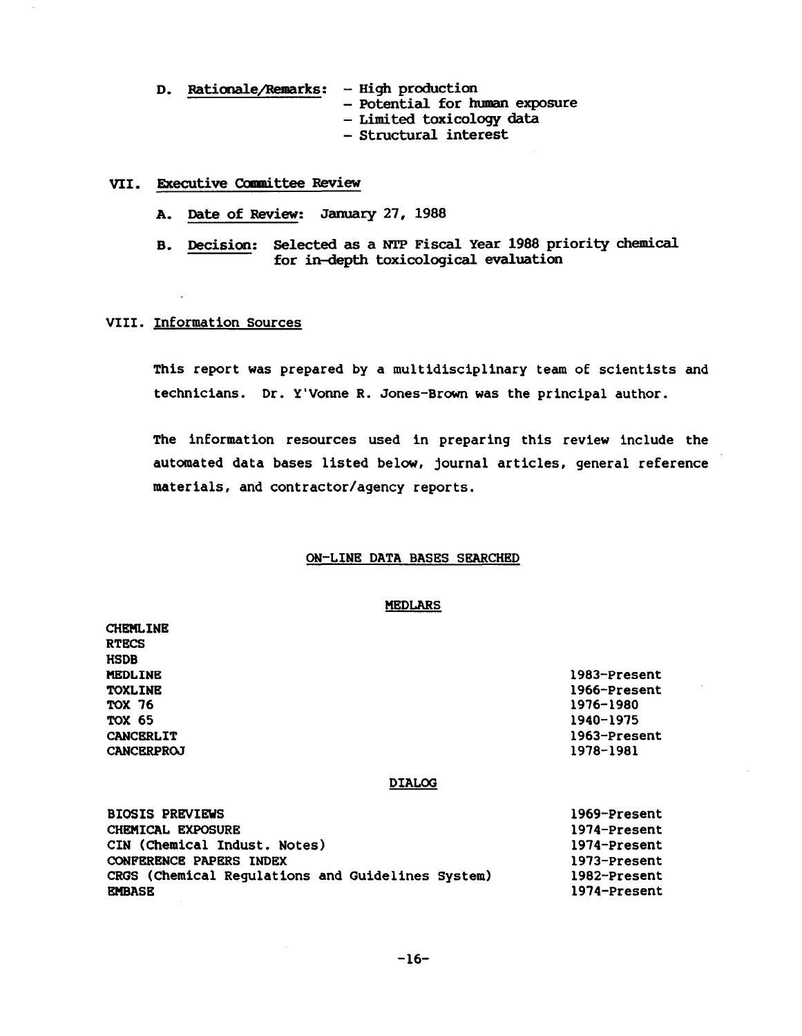D. Rationale/Remarks: - High production

- Potential for human exposure
	- Limited toxicology data
	- Structural interest

### VII. Executive Committee Review

- A. Date of Review: January 27, 1988
- B. Decision: Selected as a NTP Fiscal Year 1988 priority chemical for in-depth toxicological evaluation

### VIII. Information sources

This report was prepared by a multidisciplinary team of scientists and technicians. Dr. Y'Vonne R. Jones-Brown was the principal author.

The information resources used in preparing this review include the automated data bases listed below, journal articles, general reference materials, and contractor/agency reports.

#### ON-LINE DATA BASES SEARCHED

#### MEDLARS

CHEMLINE **RTECS** HSDB **MEDLINE** TOXLINE TOX 16 TOX 65 CANCERLIT **CANCERPROJ** 

1983-Present 1966-Present 1976-1980 1940-1975 1963-Present 1978-1981

#### DIALOG

| <b>BIOSIS PREVIEWS</b>                            | <b>1969-Present</b> |
|---------------------------------------------------|---------------------|
| CHEMICAL EXPOSURE                                 | 1974-Present        |
| CIN (Chemical Indust. Notes)                      | 1974-Present        |
| <b>CONFERENCE PAPERS INDEX</b>                    | 1973-Present        |
| CRGS (Chemical Regulations and Guidelines System) | 1982-Present        |
| <b>EMBASE</b>                                     | <b>1974-Present</b> |